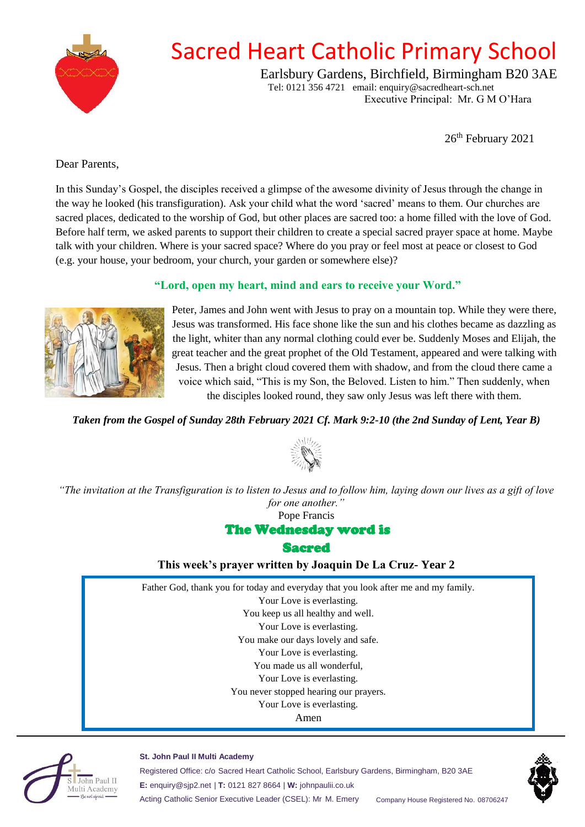

# Sacred Heart Catholic Primary School

Earlsbury Gardens, Birchfield, Birmingham B20 3AE Tel: 0121 356 4721 email: enquiry@sacredheart-sch.net

Executive Principal: Mr. G M O'Hara

26<sup>th</sup> February 2021

#### <span id="page-0-0"></span>Dear Parents,

In this Sunday's Gospel, the disciples received a glimpse of the awesome divinity of Jesus through the change in the way he looked (his transfiguration). Ask your child what the word 'sacred' means to them. Our churches are sacred places, dedicated to the worship of God, but other places are sacred too: a home filled with the love of God. Before half term, we asked parents to support their children to create a special sacred prayer space at home. Maybe talk with your children. Where is your sacred space? Where do you pray or feel most at peace or closest to God (e.g. your house, your bedroom, your church, your garden or somewhere else)?

### **"Lord, open my heart, mind and ears to receive your Word."**



Peter, James and John went with Jesus to pray on a mountain top. While they were there, Jesus was transformed. His face shone like the sun and his clothes became as dazzling as the light, whiter than any normal clothing could ever be. Suddenly Moses and Elijah, the great teacher and the great prophet of the Old Testament, appeared and were talking with Jesus. Then a bright cloud covered them with shadow, and from the cloud there came a voice which said, "This is my Son, the Beloved. Listen to him." Then suddenly, when the disciples looked round, they saw only Jesus was left there with them.

#### *Taken from the Gospel of Sunday 28th February 2021 Cf. Mark 9:2-10 (the 2nd Sunday of Lent, Year B)*



*"The invitation at the Transfiguration is to listen to Jesus and to follow him, laying down our lives as a gift of love for one another."* 

Pope Francis

#### The Wednesday word is

**Sacred** 

**This week's prayer written by Joaquin De La Cruz- Year 2**

Father God, thank you for today and everyday that you look after me and my family. Your Love is everlasting.

You keep us all healthy and well.

Your Love is everlasting.

You make our days lovely and safe.

Your Love is everlasting.

You made us all wonderful,

Your Love is everlasting.

You never stopped hearing our prayers.

Your Love is everlasting.

Amen



#### **St. John Paul II Multi Academy**

Registered Office: c/o Sacred Heart Catholic School, Earlsbury Gardens, Birmingham, B20 3AE **E:** enquiry@sjp2.net | **T:** 0121 827 8664 | **W:** johnpaulii.co.uk Acting Catholic Senior Executive Leader (CSEL): Mr M. Emery Company House Registered No. 08706247

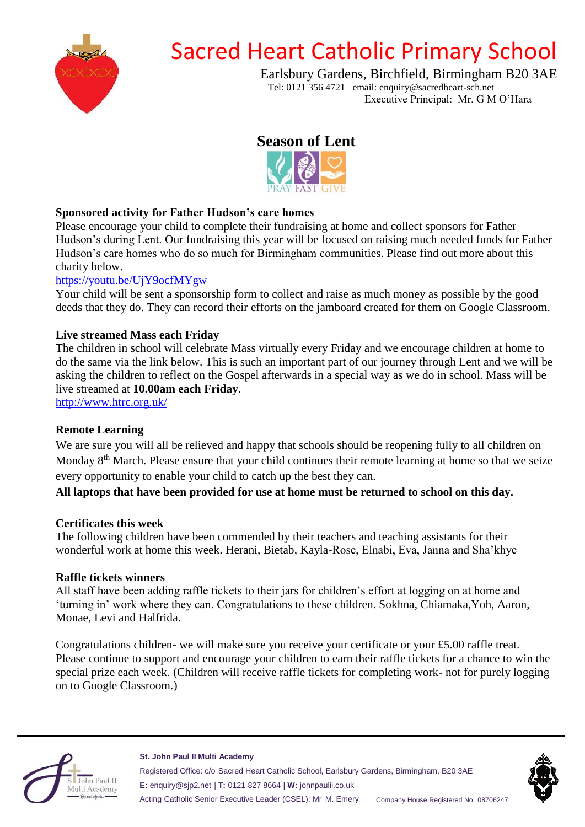

# Sacred Heart Catholic Primary School

Earlsbury Gardens, Birchfield, Birmingham B20 3AE Tel: 0121 356 4721 email: enquiry@sacredheart-sch.net Executive Principal: Mr. G M O'Hara

**Season of Lent**



## **Sponsored activity for Father Hudson's care homes**

Please encourage your child to complete their fundraising at home and collect sponsors for Father Hudson's during Lent. Our fundraising this year will be focused on raising much needed funds for Father Hudson's care homes who do so much for Birmingham communities. Please find out more about this charity below.

### [https://youtu.be/UjY9ocfMYgw](#page-0-0)

Your child will be sent a sponsorship form to collect and raise as much money as possible by the good deeds that they do. They can record their efforts on the jamboard created for them on Google Classroom.

### **Live streamed Mass each Friday**

The children in school will celebrate Mass virtually every Friday and we encourage children at home to do the same via the link below. This is such an important part of our journey through Lent and we will be asking the children to reflect on the Gospel afterwards in a special way as we do in school. Mass will be live streamed at **10.00am each Friday**.

[http://www.htrc.org.uk/](#page-0-0)

## **Remote Learning**

We are sure you will all be relieved and happy that schools should be reopening fully to all children on Monday 8<sup>th</sup> March. Please ensure that your child continues their remote learning at home so that we seize every opportunity to enable your child to catch up the best they can.

#### **All laptops that have been provided for use at home must be returned to school on this day.**

#### **Certificates this week**

The following children have been commended by their teachers and teaching assistants for their wonderful work at home this week. Herani, Bietab, Kayla-Rose, Elnabi, Eva, Janna and Sha'khye

#### **Raffle tickets winners**

All staff have been adding raffle tickets to their jars for children's effort at logging on at home and 'turning in' work where they can. Congratulations to these children. Sokhna, Chiamaka,Yoh, Aaron, Monae, Levi and Halfrida.

Congratulations children- we will make sure you receive your certificate or your £5.00 raffle treat. Please continue to support and encourage your children to earn their raffle tickets for a chance to win the special prize each week. (Children will receive raffle tickets for completing work- not for purely logging on to Google Classroom.)



**St. John Paul II Multi Academy** Registered Office: c/o Sacred Heart Catholic School, Earlsbury Gardens, Birmingham, B20 3AE **E:** enquiry@sjp2.net | **T:** 0121 827 8664 | **W:** johnpaulii.co.uk Acting Catholic Senior Executive Leader (CSEL): Mr M. Emery Company House Registered No. 08706247